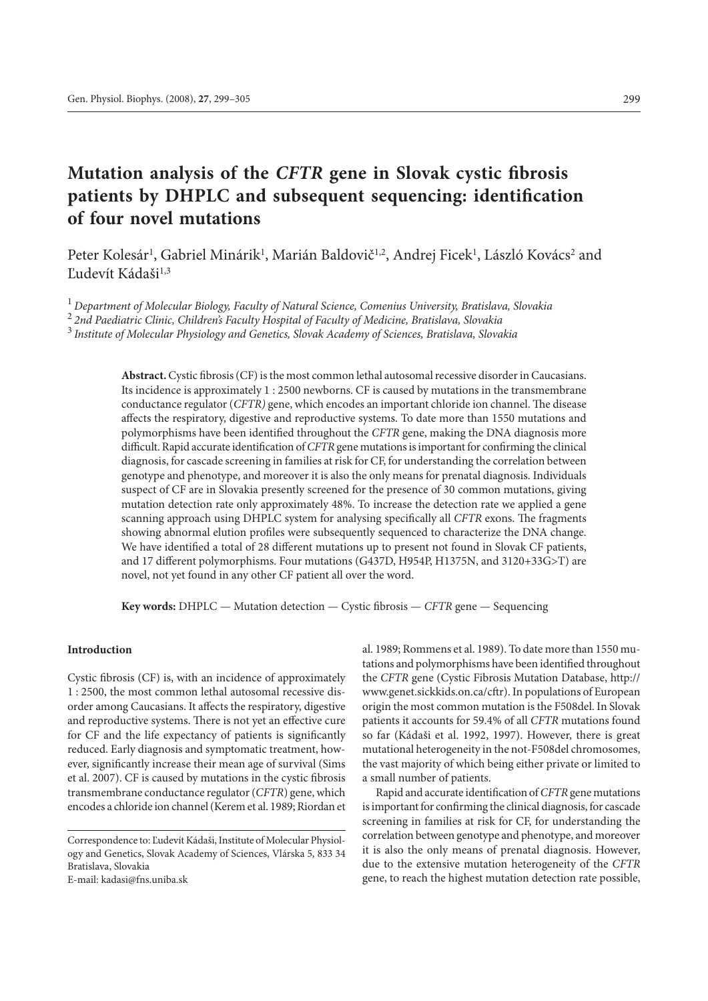# **Mutation analysis of the** *CFTR* **gene in Slovak cystic fibrosis patients by DHPLC and subsequent sequencing: identification of four novel mutations**

Peter Kolesár<sup>1</sup>, Gabriel Minárik<sup>1</sup>, Marián Baldovič<sup>1,2</sup>, Andrej Ficek<sup>1</sup>, László Kovács<sup>2</sup> and Ľudevít Kádaši<sup>1,3</sup>

<sup>1</sup>*Department of Molecular Biology, Faculty of Natural Science, Comenius University, Bratislava, Slovakia*

<sup>2</sup> *2nd Paediatric Clinic, Children's Faculty Hospital of Faculty of Medicine, Bratislava, Slovakia*

<sup>3</sup>*Institute of Molecular Physiology and Genetics, Slovak Academy of Sciences, Bratislava, Slovakia*

**Abstract.** Cystic fibrosis (CF) is the most common lethal autosomal recessive disorder in Caucasians. Its incidence is approximately 1 : 2500 newborns. CF is caused by mutations in the transmembrane conductance regulator (*CFTR)* gene, which encodes an important chloride ion channel. The disease affects the respiratory, digestive and reproductive systems. To date more than 1550 mutations and polymorphisms have been identified throughout the *CFTR* gene, making the DNA diagnosis more difficult. Rapid accurate identification of *CFTR* gene mutations is important for confirming the clinical diagnosis, for cascade screening in families at risk for CF, for understanding the correlation between genotype and phenotype, and moreover it is also the only means for prenatal diagnosis. Individuals suspect of CF are in Slovakia presently screened for the presence of 30 common mutations, giving mutation detection rate only approximately 48%. To increase the detection rate we applied a gene scanning approach using DHPLC system for analysing specifically all *CFTR* exons. The fragments showing abnormal elution profiles were subsequently sequenced to characterize the DNA change. We have identified a total of 28 different mutations up to present not found in Slovak CF patients, and 17 different polymorphisms. Four mutations (G437D, H954P, H1375N, and 3120+33G>T) are novel, not yet found in any other CF patient all over the word.

**Key words:** DHPLC — Mutation detection — Cystic fibrosis — *CFTR* gene — Sequencing

### **Introduction**

Cystic fibrosis (CF) is, with an incidence of approximately 1 : 2500, the most common lethal autosomal recessive disorder among Caucasians. It affects the respiratory, digestive and reproductive systems. There is not yet an effective cure for CF and the life expectancy of patients is significantly reduced. Early diagnosis and symptomatic treatment, however, significantly increase their mean age of survival (Sims et al. 2007). CF is caused by mutations in the cystic fibrosis transmembrane conductance regulator (*CFTR*) gene, which encodes a chloride ion channel (Kerem et al. 1989; Riordan et

E-mail: kadasi@fns.uniba.sk

al. 1989; Rommens et al. 1989). To date more than 1550 mutations and polymorphisms have been identified throughout the *CFTR* gene (Cystic Fibrosis Mutation Database, http:// www.genet.sickkids.on.ca/cftr). In populations of European origin the most common mutation is the F508del. In Slovak patients it accounts for 59.4% of all *CFTR* mutations found so far (Kádaši et al. 1992, 1997). However, there is great mutational heterogeneity in the not-F508del chromosomes, the vast majority of which being either private or limited to a small number of patients.

Rapid and accurate identification of *CFTR* gene mutations is important for confirming the clinical diagnosis, for cascade screening in families at risk for CF, for understanding the correlation between genotype and phenotype, and moreover it is also the only means of prenatal diagnosis. However, due to the extensive mutation heterogeneity of the *CFTR* gene, to reach the highest mutation detection rate possible,

Correspondence to: Ľudevít Kádaši, Institute of Molecular Physiology and Genetics, Slovak Academy of Sciences, Vlárska 5, 833 34 Bratislava, Slovakia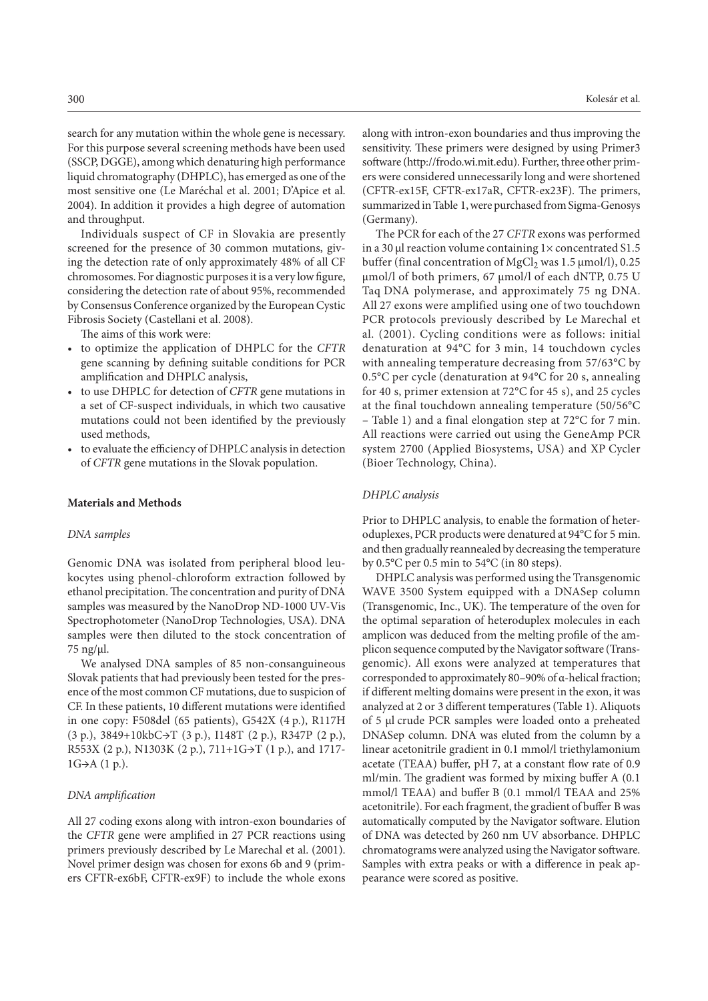search for any mutation within the whole gene is necessary. For this purpose several screening methods have been used (SSCP, DGGE), among which denaturing high performance liquid chromatography (DHPLC), has emerged as one of the most sensitive one (Le Maréchal et al. 2001; D'Apice et al. 2004). In addition it provides a high degree of automation and throughput.

Individuals suspect of CF in Slovakia are presently screened for the presence of 30 common mutations, giving the detection rate of only approximately 48% of all CF chromosomes. For diagnostic purposes it is a very low figure, considering the detection rate of about 95%, recommended by Consensus Conference organized by the European Cystic Fibrosis Society (Castellani et al. 2008).

The aims of this work were:

- to optimize the application of DHPLC for the *CFTR* gene scanning by defining suitable conditions for PCR amplification and DHPLC analysis,
- to use DHPLC for detection of *CFTR* gene mutations in a set of CF-suspect individuals, in which two causative mutations could not been identified by the previously used methods,
- to evaluate the efficiency of DHPLC analysis in detection of *CFTR* gene mutations in the Slovak population.

### **Materials and Methods**

## *DNA samples*

Genomic DNA was isolated from peripheral blood leukocytes using phenol-chloroform extraction followed by ethanol precipitation. The concentration and purity of DNA samples was measured by the NanoDrop ND-1000 UV-Vis Spectrophotometer (NanoDrop Technologies, USA). DNA samples were then diluted to the stock concentration of 75 ng/μl.

We analysed DNA samples of 85 non-consanguineous Slovak patients that had previously been tested for the presence of the most common CF mutations, due to suspicion of CF. In these patients, 10 different mutations were identified in one copy: F508del (65 patients), G542X (4 p.), R117H (3 p.), 3849+10kbC→T (3 p.), I148T (2 p.), R347P (2 p.), R553X (2 p.), N1303K (2 p.), 711+1G→T (1 p.), and 1717-  $1G\rightarrow A(1p)$ .

## *DNA amplification*

All 27 coding exons along with intron-exon boundaries of the *CFTR* gene were amplified in 27 PCR reactions using primers previously described by Le Marechal et al. (2001). Novel primer design was chosen for exons 6b and 9 (primers CFTR-ex6bF, CFTR-ex9F) to include the whole exons along with intron-exon boundaries and thus improving the sensitivity. These primers were designed by using Primer3 software (http://frodo.wi.mit.edu). Further, three other primers were considered unnecessarily long and were shortened (CFTR-ex15F, CFTR-ex17aR, CFTR-ex23F). The primers, summarized in Table 1, were purchased from Sigma-Genosys (Germany).

The PCR for each of the 27 *CFTR* exons was performed in a 30  $\mu$ l reaction volume containing 1 $\times$  concentrated S1.5 buffer (final concentration of MgCl<sub>2</sub> was 1.5  $\mu$ mol/l), 0.25 μmol/l of both primers, 67 μmol/l of each dNTP, 0.75 U Taq DNA polymerase, and approximately 75 ng DNA. All 27 exons were amplified using one of two touchdown PCR protocols previously described by Le Marechal et al. (2001). Cycling conditions were as follows: initial denaturation at 94°C for 3 min, 14 touchdown cycles with annealing temperature decreasing from 57/63°C by 0.5°C per cycle (denaturation at 94°C for 20 s, annealing for 40 s, primer extension at 72°C for 45 s), and 25 cycles at the final touchdown annealing temperature (50/56°C – Table 1) and a final elongation step at 72°C for 7 min. All reactions were carried out using the GeneAmp PCR system 2700 (Applied Biosystems, USA) and XP Cycler (Bioer Technology, China).

# *DHPLC analysis*

Prior to DHPLC analysis, to enable the formation of heteroduplexes, PCR products were denatured at 94°C for 5 min. and then gradually reannealed by decreasing the temperature by 0.5°C per 0.5 min to 54°C (in 80 steps).

DHPLC analysis was performed using the Transgenomic WAVE 3500 System equipped with a DNASep column (Transgenomic, Inc., UK). The temperature of the oven for the optimal separation of heteroduplex molecules in each amplicon was deduced from the melting profile of the amplicon sequence computed by the Navigator software (Transgenomic). All exons were analyzed at temperatures that corresponded to approximately 80–90% of α-helical fraction; if different melting domains were present in the exon, it was analyzed at 2 or 3 different temperatures (Table 1). Aliquots of 5 μl crude PCR samples were loaded onto a preheated DNASep column. DNA was eluted from the column by a linear acetonitrile gradient in 0.1 mmol/l triethylamonium acetate (TEAA) buffer, pH 7, at a constant flow rate of 0.9 ml/min. The gradient was formed by mixing buffer A (0.1 mmol/l TEAA) and buffer B (0.1 mmol/l TEAA and 25% acetonitrile). For each fragment, the gradient of buffer B was automatically computed by the Navigator software. Elution of DNA was detected by 260 nm UV absorbance. DHPLC chromatograms were analyzed using the Navigator software. Samples with extra peaks or with a difference in peak appearance were scored as positive.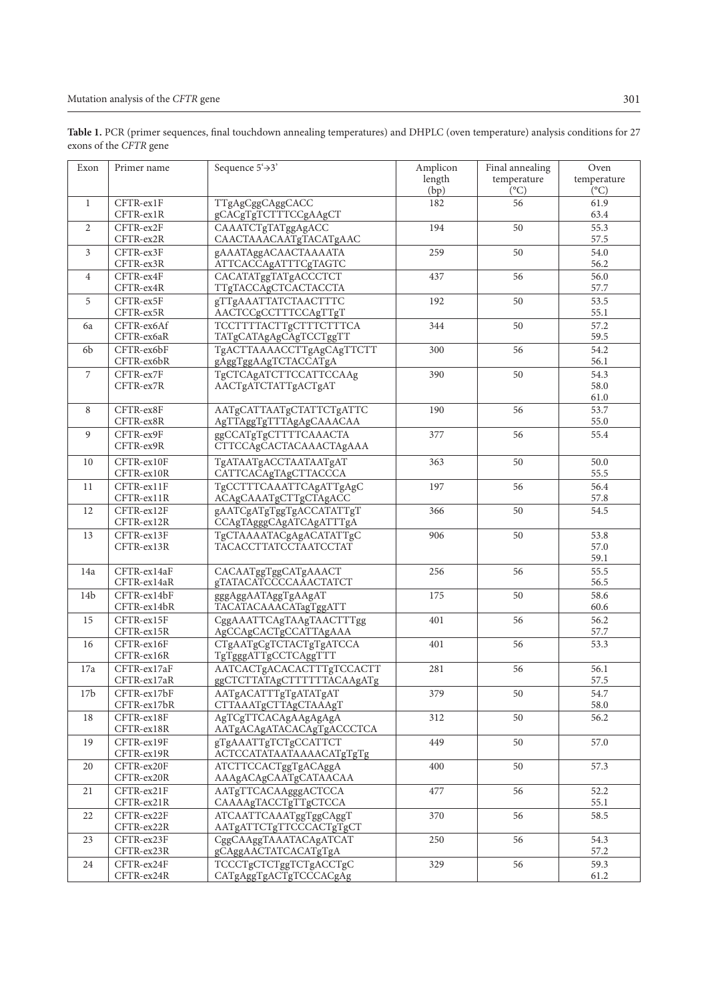| Table 1. PCR (primer sequences, final touchdown annealing temperatures) and DHPLC (oven temperature) analysis conditions for 27 |  |
|---------------------------------------------------------------------------------------------------------------------------------|--|
| exons of the CFTR gene                                                                                                          |  |

| Exon            | Primer name                | Sequence $5^{\prime}$ $\rightarrow$ 3'                  | Amplicon<br>length<br>(bp) | Final annealing<br>temperature<br>$(^{\circ}C)$ | Oven<br>temperature<br>$(^{\circ}C)$ |
|-----------------|----------------------------|---------------------------------------------------------|----------------------------|-------------------------------------------------|--------------------------------------|
| $\mathbf{1}$    | CFTR-ex1F<br>CFTR-ex1R     | TTgAgCggCAggCACC<br>gCACgTgTCTTTCCgAAgCT                | 182                        | 56                                              | 61.9<br>63.4                         |
| $\overline{2}$  | CFTR-ex2F<br>CFTR-ex2R     | CAAATCTgTATggAgACC<br>CAACTAAACAATgTACATgAAC            | 194                        | 50                                              | 55.3<br>57.5                         |
| 3               | CFTR-ex3F<br>CFTR-ex3R     | gAAATAggACAACTAAAATA<br>ATTCACCAgATTTCgTAGTC            | 259                        | 50                                              | 54.0<br>56.2                         |
| $\overline{4}$  | CFTR-ex4F<br>CFTR-ex4R     | CACATATggTATgACCCTCT<br>TTgTACCAgCTCACTACCTA            | 437                        | 56                                              | 56.0<br>57.7                         |
| 5               | CFTR-ex5F<br>CFTR-ex5R     | gTTgAAATTATCTAACTTTC<br>AACTCCgCCTTTCCAgTTgT            | 192                        | 50                                              | 53.5<br>55.1                         |
| 6a              | CFTR-ex6Af<br>CFTR-ex6aR   | TCCTTTTACTTgCTTTCTTTCA<br>TATgCATAgAgCAgTCCTggTT        | 344                        | 50                                              | 57.2<br>59.5                         |
| 6 <sub>b</sub>  | CFTR-ex6bF<br>CFTR-ex6bR   | TgACTTAAAACCTTgAgCAgTTCTT<br>gAggTggAAgTCTACCATgA       | 300                        | 56                                              | 54.2<br>56.1                         |
| $\overline{7}$  | CFTR-ex7F<br>CFTR-ex7R     | TgCTCAgATCTTCCATTCCAAg<br>AACTgATCTATTgACTgAT           | 390                        | 50                                              | 54.3<br>58.0<br>61.0                 |
| 8               | CFTR-ex8F<br>CFTR-ex8R     | AATgCATTAATgCTATTCTgATTC<br>AgTTAggTgTTTAgAgCAAACAA     | 190                        | 56                                              | 53.7<br>55.0                         |
| 9               | CFTR-ex9F<br>CFTR-ex9R     | ggCCATgTgCTTTTCAAACTA<br><b>CTTCCAgCACTACAAACTAgAAA</b> | 377                        | 56                                              | 55.4                                 |
| 10              | CFTR-ex10F<br>CFTR-ex10R   | TgATAATgACCTAATAATgAT<br>CATTCACAgTAgCTTACCCA           | 363                        | 50                                              | 50.0<br>55.5                         |
| 11              | CFTR-ex11F<br>CFTR-ex11R   | TgCCTTTCAAATTCAgATTgAgC<br>ACAgCAAATgCTTgCTAgACC        | 197                        | 56                                              | 56.4<br>57.8                         |
| 12              | CFTR-ex12F<br>CFTR-ex12R   | gAATCgATgTggTgACCATATTgT<br>CCAgTAgggCAgATCAgATTTgA     | 366                        | 50                                              | 54.5                                 |
| 13              | CFTR-ex13F<br>CFTR-ex13R   | TgCTAAAATACgAgACATATTgC<br><b>TACACCTTATCCTAATCCTAT</b> | 906                        | 50                                              | 53.8<br>57.0<br>59.1                 |
| 14a             | CFTR-ex14aF<br>CFTR-ex14aR | CACAATggTggCATgAAACT<br><b>gTATACATCCCCAAACTATCT</b>    | 256                        | 56                                              | 55.5<br>56.5                         |
| 14 <sub>b</sub> | CFTR-ex14bF<br>CFTR-ex14bR | gggAggAATAggTgAAgAT<br>TACATACAAACATagTggATT            | 175                        | 50                                              | 58.6<br>60.6                         |
| 15              | CFTR-ex15F<br>CFTR-ex15R   | CggAAATTCAgTAAgTAACTTTgg<br>AgCCAgCACTgCCATTAgAAA       | 401                        | 56                                              | 56.2<br>57.7                         |
| 16              | CFTR-ex16F<br>CFTR-ex16R   | CTgAATgCgTCTACTgTgATCCA<br>TgTgggATTgCCTCAggTTT         | 401                        | 56                                              | 53.3                                 |
| 17a             | CFTR-ex17aF<br>CFTR-ex17aR | AATCACTgACACACTTTgTCCACTT<br>ggCTCTTATAgCTTTTTTACAAgATg | 281                        | 56                                              | 56.1<br>57.5                         |
| 17 <sub>b</sub> | CFTR-ex17bF<br>CFTR-ex17bR | AATgACATTTgTgATATgAT<br>CTTAAATgCTTAgCTAAAgT            | 379                        | 50                                              | 54.7<br>58.0                         |
| 18              | CFTR-ex18F<br>CFTR-ex18R   | AgTCgTTCACAgAAgAgAgA<br>AATgACAgATACACAgTgACCCTCA       | 312                        | 50                                              | 56.2                                 |
| 19              | CFTR-ex19F<br>CFTR-ex19R   | gTgAAATTgTCTgCCATTCT<br>ACTCCATATAATAAAACATgTgTg        | 449                        | 50                                              | 57.0                                 |
| 20              | CFTR-ex20F<br>CFTR-ex20R   | ATCTTCCACTggTgACAggA<br>AAAgACAgCAATgCATAACAA           | 400                        | 50                                              | 57.3                                 |
| 21              | CFTR-ex21F<br>CFTR-ex21R   | AATgTTCACAAgggACTCCA<br>CAAAAgTACCTgTTgCTCCA            | 477                        | 56                                              | 52.2<br>55.1                         |
| 22              | CFTR-ex22F<br>CFTR-ex22R   | ATCAATTCAAATggTggCAggT<br>AATgATTCTgTTCCCACTgTgCT       | 370                        | 56                                              | 58.5                                 |
| 23              | CFTR-ex23F<br>CFTR-ex23R   | CggCAAggTAAATACAgATCAT<br>gCAggAACTATCACATgTgA          | 250                        | 56                                              | 54.3<br>57.2                         |
| 24              | CFTR-ex24F<br>CFTR-ex24R   | TCCCTgCTCTggTCTgACCTgC<br>CATgAggTgACTgTCCCACgAg        | 329                        | 56                                              | 59.3<br>61.2                         |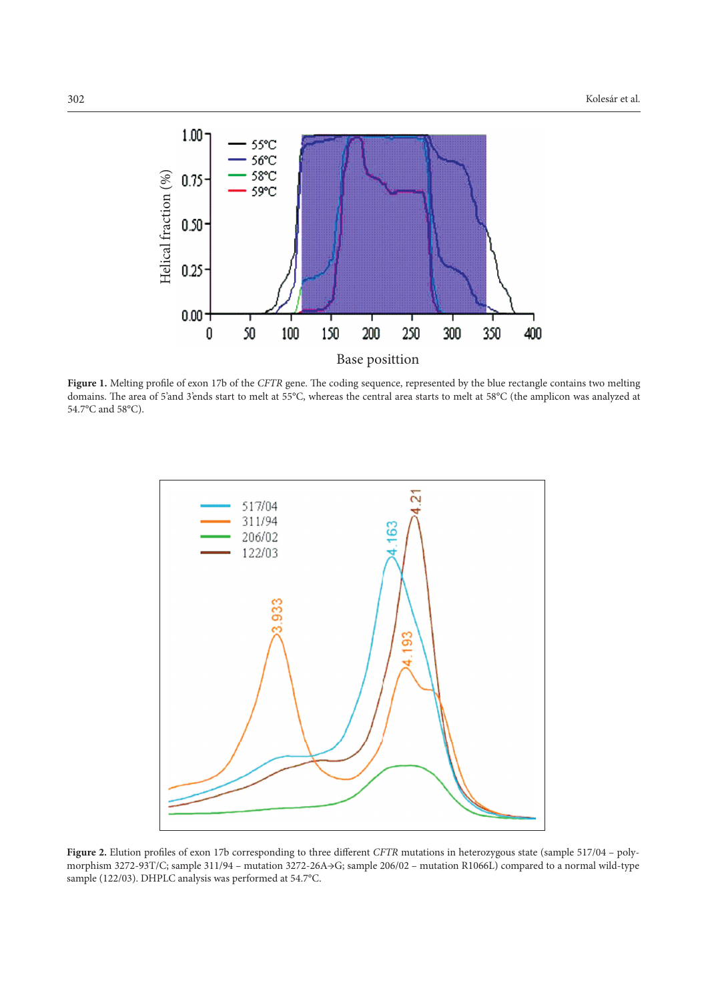

**Figure 1.** Melting profile of exon 17b of the *CFTR* gene. The coding sequence, represented by the blue rectangle contains two melting domains. The area of 5'and 3'ends start to melt at 55°C, whereas the central area starts to melt at 58°C (the amplicon was analyzed at 54.7°C and 58°C).



Figure 2. Elution profiles of exon 17b corresponding to three different *CFTR* mutations in heterozygous state (sample 517/04 – polymorphism 3272-93T/C; sample 311/94 – mutation 3272-26A→G; sample 206/02 – mutation R1066L) compared to a normal wild-type sample (122/03). DHPLC analysis was performed at 54.7°C.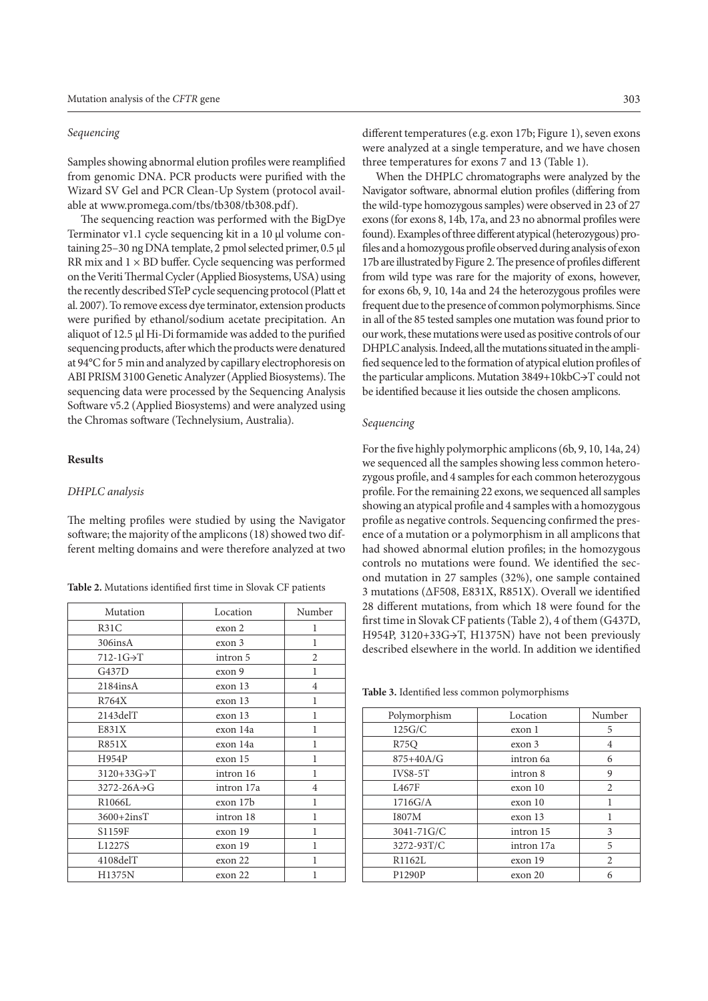# *Sequencing*

Samples showing abnormal elution profiles were reamplified from genomic DNA. PCR products were purified with the Wizard SV Gel and PCR Clean-Up System (protocol available at www.promega.com/tbs/tb308/tb308.pdf).

The sequencing reaction was performed with the BigDye Terminator v1.1 cycle sequencing kit in a 10 μl volume containing 25–30 ng DNA template, 2 pmol selected primer, 0.5 μl RR mix and  $1 \times BD$  buffer. Cycle sequencing was performed on the Veriti Thermal Cycler (Applied Biosystems, USA) using the recently described STeP cycle sequencing protocol (Platt et al. 2007). To remove excess dye terminator, extension products were purified by ethanol/sodium acetate precipitation. An aliquot of 12.5 μl Hi-Di formamide was added to the purified sequencing products, after which the products were denatured at 94°C for 5 min and analyzed by capillary electrophoresis on ABI PRISM 3100 Genetic Analyzer (Applied Biosystems). The sequencing data were processed by the Sequencing Analysis Software v5.2 (Applied Biosystems) and were analyzed using the Chromas software (Technelysium, Australia).

# **Results**

#### *DHPLC analysis*

The melting profiles were studied by using the Navigator software; the majority of the amplicons (18) showed two different melting domains and were therefore analyzed at two

**Table 2.** Mutations identified first time in Slovak CF patients

| Mutation                 | Location   | Number         |
|--------------------------|------------|----------------|
| R31C                     | exon 2     | 1              |
| 306insA                  | exon 3     | 1              |
| $712-1G \rightarrow T$   | intron 5   | $\overline{c}$ |
| G437D                    | exon 9     | 1              |
| $2184$ ins $A$           | exon 13    | $\overline{4}$ |
| R764X                    | exon 13    | 1              |
| $2143$ del $T$           | exon 13    | 1              |
| E831X                    | exon 14a   | 1              |
| <b>R851X</b>             | exon 14a   | 1              |
| H954P                    | exon 15    | 1              |
| $3120+33G \rightarrow T$ | intron 16  | 1              |
| 3272-26A>G               | intron 17a | 4              |
| R1066L                   | exon 17b   | 1              |
| $3600+2insT$             | intron 18  | 1              |
| S1159F                   | exon 19    | 1              |
| L1227S                   | exon 19    | 1              |
| 4108delT                 | exon 22    | 1              |
| H1375N                   | exon 22    | 1              |

different temperatures (e.g. exon 17b; Figure 1), seven exons were analyzed at a single temperature, and we have chosen three temperatures for exons 7 and 13 (Table 1).

When the DHPLC chromatographs were analyzed by the Navigator software, abnormal elution profiles (differing from the wild-type homozygous samples) were observed in 23 of 27 exons (for exons 8, 14b, 17a, and 23 no abnormal profiles were found). Examples of three different atypical (heterozygous) profiles and a homozygous profile observed during analysis of exon 17b are illustrated by Figure 2. The presence of profiles different from wild type was rare for the majority of exons, however, for exons 6b, 9, 10, 14a and 24 the heterozygous profiles were frequent due to the presence of common polymorphisms. Since in all of the 85 tested samples one mutation was found prior to our work, these mutations were used as positive controls of our DHPLC analysis. Indeed, all the mutations situated in the amplified sequence led to the formation of atypical elution profiles of the particular amplicons. Mutation 3849+10kbC→T could not be identified because it lies outside the chosen amplicons.

# *Sequencing*

For the five highly polymorphic amplicons (6b, 9, 10, 14a, 24) we sequenced all the samples showing less common heterozygous profile, and 4 samples for each common heterozygous profile. For the remaining 22 exons, we sequenced all samples showing an atypical profile and 4 samples with a homozygous profile as negative controls. Sequencing confirmed the presence of a mutation or a polymorphism in all amplicons that had showed abnormal elution profiles; in the homozygous controls no mutations were found. We identified the second mutation in 27 samples (32%), one sample contained 3 mutations (ΔF508, E831X, R851X). Overall we identified 28 different mutations, from which 18 were found for the first time in Slovak CF patients (Table 2), 4 of them (G437D, H954P, 3120+33G→T, H1375N) have not been previously described elsewhere in the world. In addition we identified

**Table 3.** Identified less common polymorphisms

| Location          | Number         |
|-------------------|----------------|
| exon 1            | 5              |
| exon <sub>3</sub> | 4              |
| intron 6a         | 6              |
| intron 8          | 9              |
| exon 10           | $\mathfrak{D}$ |
| exon 10           | 1              |
| exon 13           |                |
| intron 15         | 3              |
| intron 17a        | 5              |
| exon 19           | 2              |
| exon 20           |                |
|                   |                |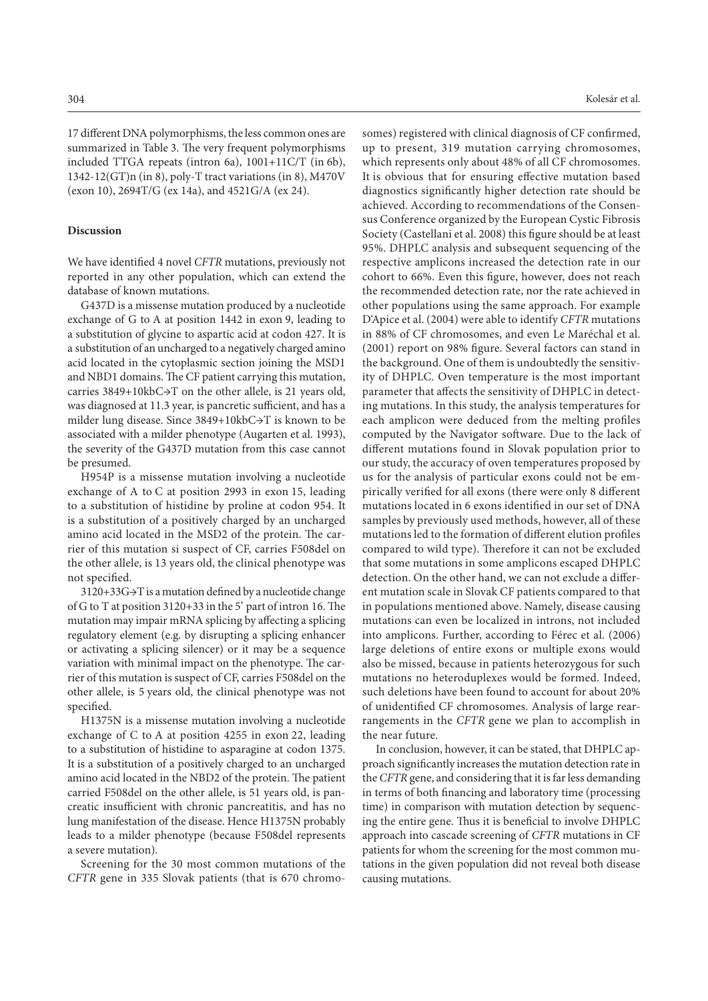17 different DNA polymorphisms, the less common ones are summarized in Table 3. The very frequent polymorphisms included TTGA repeats (intron 6a), 1001+11C/T (in 6b), 1342-12(GT)n (in 8), poly-T tract variations (in 8), M470V (exon 10), 2694T/G (ex 14a), and 4521G/A (ex 24).

## **Discussion**

We have identified 4 novel *CFTR* mutations, previously not reported in any other population, which can extend the database of known mutations.

G437D is a missense mutation produced by a nucleotide exchange of G to A at position 1442 in exon 9, leading to a substitution of glycine to aspartic acid at codon 427. It is a substitution of an uncharged to a negatively charged amino acid located in the cytoplasmic section joining the MSD1 and NBD1 domains. The CF patient carrying this mutation, carries 3849+10kbC→T on the other allele, is 21 years old, was diagnosed at 11.3 year, is pancretic sufficient, and has a milder lung disease. Since 3849+10kbC→T is known to be associated with a milder phenotype (Augarten et al. 1993), the severity of the G437D mutation from this case cannot be presumed.

H954P is a missense mutation involving a nucleotide exchange of A to C at position 2993 in exon 15, leading to a substitution of histidine by proline at codon 954. It is a substitution of a positively charged by an uncharged amino acid located in the MSD2 of the protein. The carrier of this mutation si suspect of CF, carries F508del on the other allele, is 13 years old, the clinical phenotype was not specified.

3120+33G→T is a mutation defined by a nucleotide change of G to T at position 3120+33 in the 5' part of intron 16. The mutation may impair mRNA splicing by affecting a splicing regulatory element (e.g. by disrupting a splicing enhancer or activating a splicing silencer) or it may be a sequence variation with minimal impact on the phenotype. The carrier of this mutation is suspect of CF, carries F508del on the other allele, is 5 years old, the clinical phenotype was not specified.

H1375N is a missense mutation involving a nucleotide exchange of C to A at position 4255 in exon 22, leading to a substitution of histidine to asparagine at codon 1375. It is a substitution of a positively charged to an uncharged amino acid located in the NBD2 of the protein. The patient carried F508del on the other allele, is 51 years old, is pancreatic insufficient with chronic pancreatitis, and has no lung manifestation of the disease. Hence H1375N probably leads to a milder phenotype (because F508del represents a severe mutation).

Screening for the 30 most common mutations of the *CFTR* gene in 335 Slovak patients (that is 670 chromo-

304 Kolesár et al.

somes) registered with clinical diagnosis of CF confirmed, up to present, 319 mutation carrying chromosomes, which represents only about 48% of all CF chromosomes. It is obvious that for ensuring effective mutation based diagnostics significantly higher detection rate should be achieved. According to recommendations of the Consensus Conference organized by the European Cystic Fibrosis Society (Castellani et al. 2008) this figure should be at least 95%. DHPLC analysis and subsequent sequencing of the respective amplicons increased the detection rate in our cohort to 66%. Even this figure, however, does not reach the recommended detection rate, nor the rate achieved in other populations using the same approach. For example D'Apice et al. (2004) were able to identify *CFTR* mutations in 88% of CF chromosomes, and even Le Maréchal et al. (2001) report on 98% figure. Several factors can stand in the background. One of them is undoubtedly the sensitivity of DHPLC. Oven temperature is the most important parameter that affects the sensitivity of DHPLC in detecting mutations. In this study, the analysis temperatures for each amplicon were deduced from the melting profiles computed by the Navigator software. Due to the lack of different mutations found in Slovak population prior to our study, the accuracy of oven temperatures proposed by us for the analysis of particular exons could not be empirically verified for all exons (there were only 8 different mutations located in 6 exons identified in our set of DNA samples by previously used methods, however, all of these mutations led to the formation of different elution profiles compared to wild type). Therefore it can not be excluded that some mutations in some amplicons escaped DHPLC detection. On the other hand, we can not exclude a different mutation scale in Slovak CF patients compared to that in populations mentioned above. Namely, disease causing mutations can even be localized in introns, not included into amplicons. Further, according to Férec et al. (2006) large deletions of entire exons or multiple exons would also be missed, because in patients heterozygous for such mutations no heteroduplexes would be formed. Indeed, such deletions have been found to account for about 20% of unidentified CF chromosomes. Analysis of large rearrangements in the *CFTR* gene we plan to accomplish in the near future.

In conclusion, however, it can be stated, that DHPLC approach significantly increases the mutation detection rate in the *CFTR* gene, and considering that it is far less demanding in terms of both financing and laboratory time (processing time) in comparison with mutation detection by sequencing the entire gene. Thus it is beneficial to involve DHPLC approach into cascade screening of *CFTR* mutations in CF patients for whom the screening for the most common mutations in the given population did not reveal both disease causing mutations.